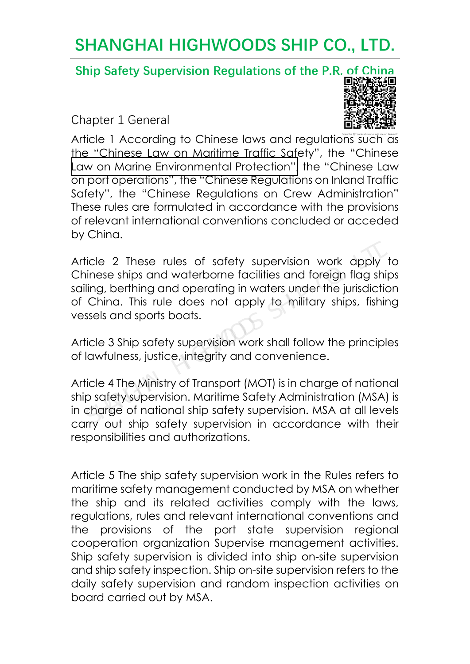#### **Ship Safety Supervision Regulations of the P.R. of China**

#### Chapter 1 General



Article 1 According to Chinese laws and regulations such as the "Chinese Law on Maritime Traffic Safety", the "Chinese Law [on Marine Environmental Protection",](http://www.shorefacility.com/2061.pdf) the "Chinese Law on port operations", the "Chinese Regulations on Inland Traffic Safety", the "Chinese Regulations on Crew Administration" These rules are formulated in accordance with the provisions of relevant international conventions concluded or acceded by China.

Article 2 These rules of safety supervision work apply to Chinese ships and waterborne facilities and foreign flag ships sailing, berthing and operating in waters under the jurisdiction of China. This rule does not apply to military ships, fishing vessels and sports boats. Shimat.<br>
These rules of safety supervision work apply to<br>
innese ships and waterborne facilities and foreign flag ship<br>
iling, berthing and operating in waters under the jurisdiction<br>
China. This rule does not apply to mil

Article 3 Ship safety supervision work shall follow the principles of lawfulness, justice, integrity and convenience.

Article 4 The Ministry of Transport (MOT) is in charge of national ship safety supervision. Maritime Safety Administration (MSA) is in charge of national ship safety supervision. MSA at all levels carry out ship safety supervision in accordance with their responsibilities and authorizations.

Article 5 The ship safety supervision work in the Rules refers to maritime safety management conducted by MSA on whether the ship and its related activities comply with the laws, regulations, rules and relevant international conventions and the provisions of the port state supervision regional cooperation organization Supervise management activities. Ship safety supervision is divided into ship on-site supervision and ship safety inspection. Ship on-site supervision refers to the daily safety supervision and random inspection activities on board carried out by MSA.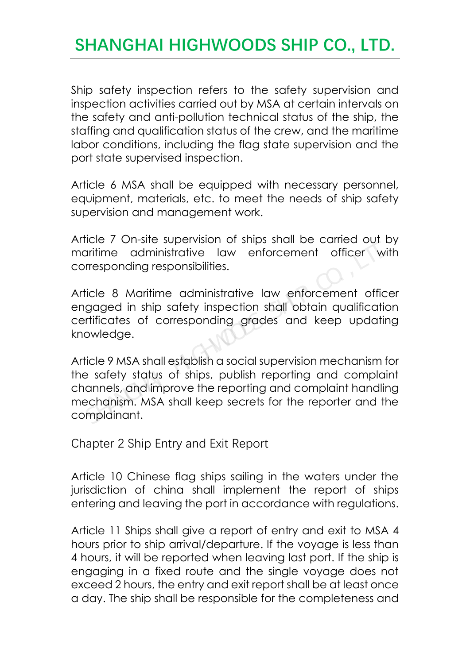Ship safety inspection refers to the safety supervision and inspection activities carried out by MSA at certain intervals on the safety and anti-pollution technical status of the ship, the staffing and qualification status of the crew, and the maritime labor conditions, including the flag state supervision and the port state supervised inspection.

Article 6 MSA shall be equipped with necessary personnel, equipment, materials, etc. to meet the needs of ship safety supervision and management work.

Article 7 On-site supervision of ships shall be carried out by maritime administrative law enforcement officer with corresponding responsibilities.

Article 8 Maritime administrative law enforcement officer engaged in ship safety inspection shall obtain qualification certificates of corresponding grades and keep updating knowledge.

Article 9 MSA shall establish a social supervision mechanism for the safety status of ships, publish reporting and complaint channels, and improve the reporting and complaint handling mechanism. MSA shall keep secrets for the reporter and the complainant. ricie / On-site supervision of ships shall be carried out binder and the definition distribution and the state of the method of the state of corresponding presponsibilities.<br>
Ficle 8 Maritime administrative law enforcement

Chapter 2 Ship Entry and Exit Report

Article 10 Chinese flag ships sailing in the waters under the jurisdiction of china shall implement the report of ships entering and leaving the port in accordance with regulations.

Article 11 Ships shall give a report of entry and exit to MSA 4 hours prior to ship arrival/departure. If the voyage is less than 4 hours, it will be reported when leaving last port. If the ship is engaging in a fixed route and the single voyage does not exceed 2 hours, the entry and exit report shall be at least once a day. The ship shall be responsible for the completeness and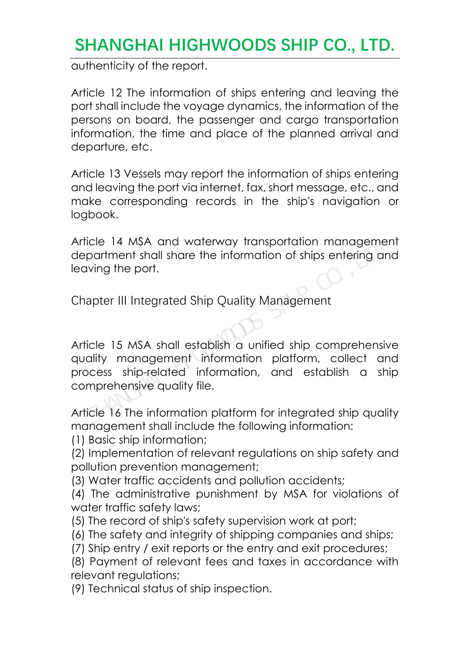authenticity of the report.

Article 12 The information of ships entering and leaving the port shall include the voyage dynamics, the information of the persons on board, the passenger and cargo transportation information, the time and place of the planned arrival and departure, etc.

Article 13 Vessels may report the information of ships entering and leaving the port via internet, fax, short message, etc., and make corresponding records in the ship's navigation or logbook.

Article 14 MSA and waterway transportation management department shall share the information of ships entering and leaving the port.

Chapter III Integrated Ship Quality Management

Article 15 MSA shall establish a unified ship comprehensive quality management information platform, collect and process ship-related information, and establish a ship comprehensive quality file. ticle 14 MSA and waterway transportation managemen<br>spartment shall share the information of ships entering and<br>aving the port.<br>hapter III Integrated Ship Quality Management<br>ticle 15 MSA shall establish a unified ship compr

Article 16 The information platform for integrated ship quality management shall include the following information:

(1) Basic ship information;

(2) Implementation of relevant regulations on ship safety and pollution prevention management;

(3) Water traffic accidents and pollution accidents;

(4) The administrative punishment by MSA for violations of water traffic safety laws;

(5) The record of ship's safety supervision work at port;

(6) The safety and integrity of shipping companies and ships;

(7) Ship entry / exit reports or the entry and exit procedures;

(8) Payment of relevant fees and taxes in accordance with relevant regulations;

(9) Technical status of ship inspection.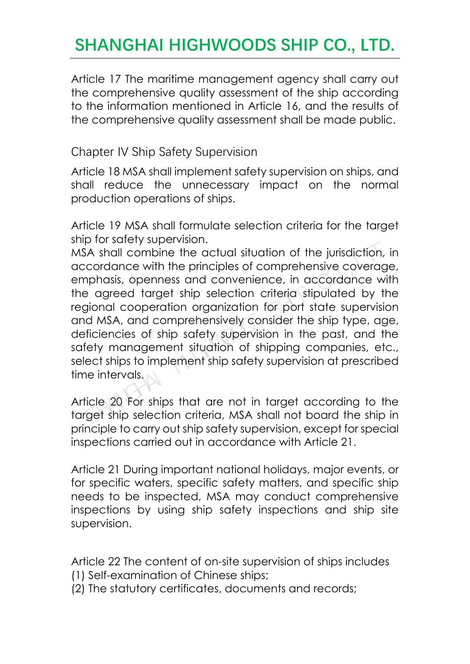Article 17 The maritime management agency shall carry out the comprehensive quality assessment of the ship according to the information mentioned in Article 16, and the results of the comprehensive quality assessment shall be made public.

Chapter IV Ship Safety Supervision

Article 18 MSA shall implement safety supervision on ships, and shall reduce the unnecessary impact on the normal production operations of ships.

Article 19 MSA shall formulate selection criteria for the target ship for safety supervision.

MSA shall combine the actual situation of the jurisdiction, in accordance with the principles of comprehensive coverage, emphasis, openness and convenience, in accordance with the agreed target ship selection criteria stipulated by the regional cooperation organization for port state supervision and MSA, and comprehensively consider the ship type, age, deficiencies of ship safety supervision in the past, and the safety management situation of shipping companies, etc., select ships to implement ship safety supervision at prescribed time intervals. p for satery supervision.<br>SA shall combine the actual situation of the jurisdiction, in<br>coordance with the principles of comprehensive coverage<br>apphasis, openness and convenience, in accordance with<br>a gareed target ship se

Article 20 For ships that are not in target according to the target ship selection criteria, MSA shall not board the ship in principle to carry out ship safety supervision, except for special inspections carried out in accordance with Article 21.

Article 21 During important national holidays, major events, or for specific waters, specific safety matters, and specific ship needs to be inspected, MSA may conduct comprehensive inspections by using ship safety inspections and ship site supervision.

Article 22 The content of on-site supervision of ships includes

(1) Self-examination of Chinese ships;

(2) The statutory certificates, documents and records;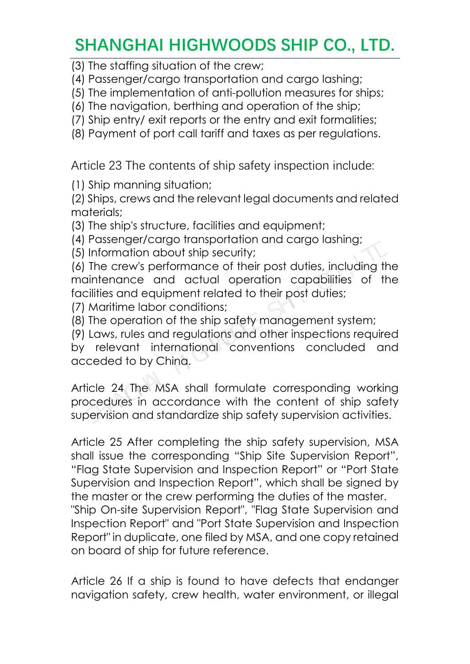(3) The staffing situation of the crew;

(4) Passenger/cargo transportation and cargo lashing;

(5) The implementation of anti-pollution measures for ships;

(6) The navigation, berthing and operation of the ship;

(7) Ship entry/ exit reports or the entry and exit formalities;

(8) Payment of port call tariff and taxes as per regulations.

Article 23 The contents of ship safety inspection include:

(1) Ship manning situation;

(2) Ships, crews and the relevant legal documents and related materials;

(3) The ship's structure, facilities and equipment;

(4) Passenger/cargo transportation and cargo lashing;

(5) Information about ship security;

(6) The crew's performance of their post duties, including the maintenance and actual operation capabilities of the facilities and equipment related to their post duties;

(7) Maritime labor conditions;

(8) The operation of the ship safety management system;

(9) Laws, rules and regulations and other inspections required by relevant international conventions concluded and acceded to by China. Passenger/cargo transportation and cargo lashing;<br>Information about ship security;<br>The crew's performance of their post duties, including the<br>aintenance and actual operation capabilities of the<br>cilities and equipment relat

Article 24 The MSA shall formulate corresponding working procedures in accordance with the content of ship safety supervision and standardize ship safety supervision activities.

Article 25 After completing the ship safety supervision, MSA shall issue the corresponding "Ship Site Supervision Report", "Flag State Supervision and Inspection Report" or "Port State Supervision and Inspection Report", which shall be signed by the master or the crew performing the duties of the master. "Ship On-site Supervision Report", "Flag State Supervision and Inspection Report" and "Port State Supervision and Inspection Report" in duplicate, one filed by MSA, and one copy retained on board of ship for future reference.

Article 26 If a ship is found to have defects that endanger navigation safety, crew health, water environment, or illegal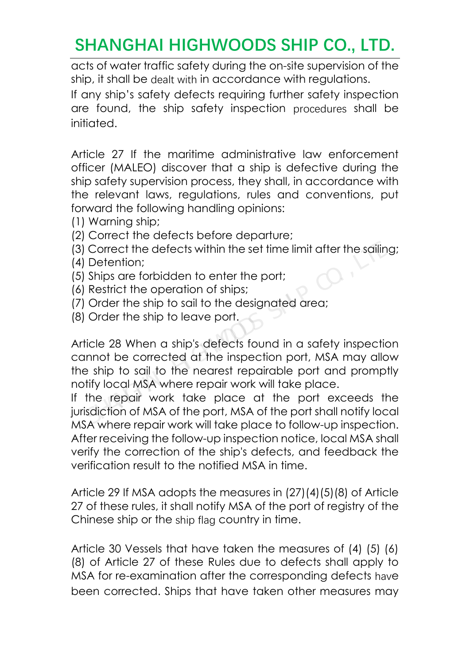acts of water traffic safety during the on-site supervision of the ship, it shall be dealt with in accordance with regulations.

If any ship's safety defects requiring further safety inspection are found, the ship safety inspection procedures shall be initiated.

Article 27 If the maritime administrative law enforcement officer (MALEO) discover that a ship is defective during the ship safety supervision process, they shall, in accordance with the relevant laws, regulations, rules and conventions, put forward the following handling opinions:

- (1) Warning ship;
- (2) Correct the defects before departure;
- (3) Correct the defects within the set time limit after the sailing;
- (4) Detention;
- (5) Ships are forbidden to enter the port;
- (6) Restrict the operation of ships;
- (7) Order the ship to sail to the designated area;
- (8) Order the ship to leave port.

Article 28 When a ship's defects found in a safety inspection cannot be corrected at the inspection port, MSA may allow the ship to sail to the nearest repairable port and promptly notify local MSA where repair work will take place. Correct the defects solide departion,<br>Correct the defects within the set time limit after the sailing<br>Detention;<br>Ships are forbidden to enter the port;<br>Restrict the operation of ships;<br>Order the ship to sail to the designa

If the repair work take place at the port exceeds the jurisdiction of MSA of the port, MSA of the port shall notify local MSA where repair work will take place to follow-up inspection. After receiving the follow-up inspection notice, local MSA shall verify the correction of the ship's defects, and feedback the verification result to the notified MSA in time.

Article 29 If MSA adopts the measures in (27)(4)(5)(8) of Article 27 of these rules, it shall notify MSA of the port of registry of the Chinese ship or the ship flag country in time.

Article 30 Vessels that have taken the measures of (4) (5) (6) (8) of Article 27 of these Rules due to defects shall apply to MSA for re-examination after the corresponding defects have been corrected. Ships that have taken other measures may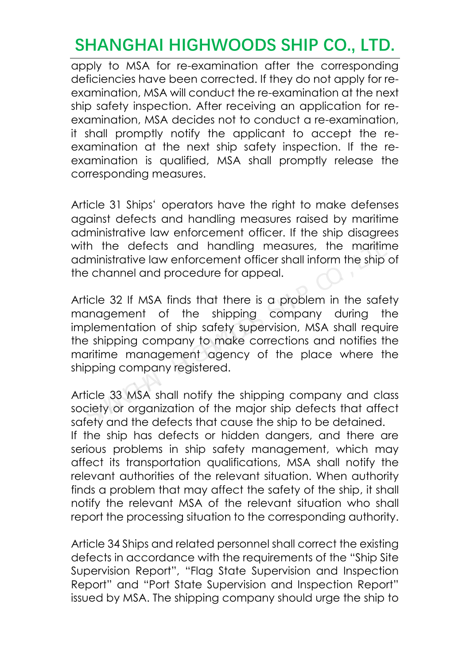apply to MSA for re-examination after the corresponding deficiencies have been corrected. If they do not apply for reexamination, MSA will conduct the re-examination at the next ship safety inspection. After receiving an application for reexamination, MSA decides not to conduct a re-examination, it shall promptly notify the applicant to accept the reexamination at the next ship safety inspection. If the reexamination is qualified, MSA shall promptly release the corresponding measures.

Article 31 Ships' operators have the right to make defenses against defects and handling measures raised by maritime administrative law enforcement officer. If the ship disagrees with the defects and handling measures, the maritime administrative law enforcement officer shall inform the ship of the channel and procedure for appeal.

Article 32 If MSA finds that there is a problem in the safety management of the shipping company during the implementation of ship safety supervision, MSA shall require the shipping company to make corrections and notifies the maritime management agency of the place where the shipping company registered. th the defects and handling measures, the maritime<br>Iministrative law enforcement officer shall inform the ship c<br>e channel and procedure for appeal.<br>Iticle 32 If MSA finds that there is a problem in the safet<br>anagement of

Article 33 MSA shall notify the shipping company and class society or organization of the major ship defects that affect safety and the defects that cause the ship to be detained. If the ship has defects or hidden dangers, and there are serious problems in ship safety management, which may affect its transportation qualifications, MSA shall notify the relevant authorities of the relevant situation. When authority finds a problem that may affect the safety of the ship, it shall notify the relevant MSA of the relevant situation who shall report the processing situation to the corresponding authority.

Article 34 Ships and related personnel shall correct the existing defects in accordance with the requirements of the "Ship Site Supervision Report", "Flag State Supervision and Inspection Report" and "Port State Supervision and Inspection Report" issued by MSA. The shipping company should urge the ship to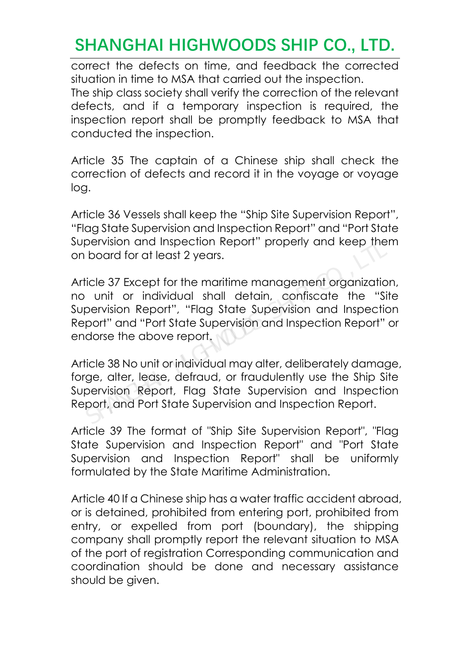correct the defects on time, and feedback the corrected situation in time to MSA that carried out the inspection. The ship class society shall verify the correction of the relevant defects, and if a temporary inspection is required, the inspection report shall be promptly feedback to MSA that conducted the inspection.

Article 35 The captain of a Chinese ship shall check the correction of defects and record it in the voyage or voyage log.

Article 36 Vessels shall keep the "Ship Site Supervision Report", "Flag State Supervision and Inspection Report" and "Port State Supervision and Inspection Report" properly and keep them on board for at least 2 years.

Article 37 Except for the maritime management organization, no unit or individual shall detain, confiscate the "Site Supervision Report", "Flag State Supervision and Inspection Report" and "Port State Supervision and Inspection Report" or endorse the above report. pervision and Inspection Report" properly and keep then<br>
board for at least 2 years.<br>
ticle 37 Except for the maritime management organization<br>
unit or individual shall detain, confiscate the "Site<br>
pervision Report", "Fla

Article 38 No unit or individual may alter, deliberately damage, forge, alter, lease, defraud, or fraudulently use the Ship Site Supervision Report, Flag State Supervision and Inspection Report, and Port State Supervision and Inspection Report.

Article 39 The format of "Ship Site Supervision Report", "Flag State Supervision and Inspection Report" and "Port State Supervision and Inspection Report" shall be uniformly formulated by the State Maritime Administration.

Article 40 If a Chinese ship has a water traffic accident abroad, or is detained, prohibited from entering port, prohibited from entry, or expelled from port (boundary), the shipping company shall promptly report the relevant situation to MSA of the port of registration Corresponding communication and coordination should be done and necessary assistance should be given.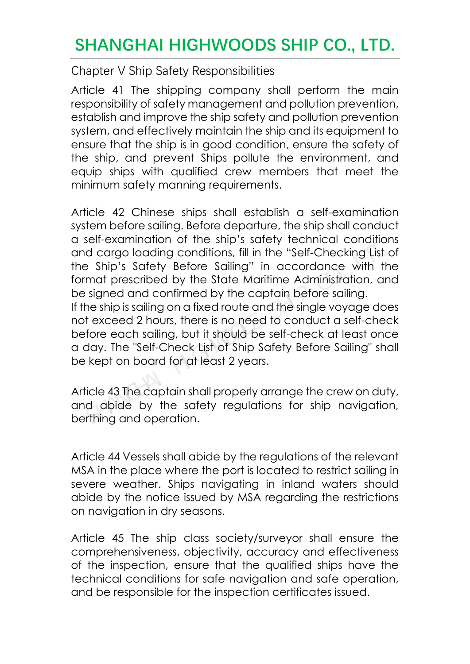Chapter V Ship Safety Responsibilities

Article 41 The shipping company shall perform the main responsibility of safety management and pollution prevention, establish and improve the ship safety and pollution prevention system, and effectively maintain the ship and its equipment to ensure that the ship is in good condition, ensure the safety of the ship, and prevent Ships pollute the environment, and equip ships with qualified crew members that meet the minimum safety manning requirements.

Article 42 Chinese ships shall establish a self-examination system before sailing. Before departure, the ship shall conduct a self-examination of the ship's safety technical conditions and cargo loading conditions, fill in the "Self-Checking List of the Ship's Safety Before Sailing" in accordance with the format prescribed by the State Maritime Administration, and be signed and confirmed by the captain before sailing. If the ship is sailing on a fixed route and the single voyage does self-examination of the ship's satety rechnical condition<br>id cargo loading conditions, fill in the "Self-Checking List c<br>e Ship's Safety Before Sailing" in accordance with the<br>mat prescribed by the State Maritime Administr

not exceed 2 hours, there is no need to conduct a self-check before each sailing, but it should be self-check at least once a day. The "Self-Check List of Ship Safety Before Sailing" shall be kept on board for at least 2 years.

Article 43 The captain shall properly arrange the crew on duty, and abide by the safety regulations for ship navigation, berthing and operation.

Article 44 Vessels shall abide by the regulations of the relevant MSA in the place where the port is located to restrict sailing in severe weather. Ships navigating in inland waters should abide by the notice issued by MSA regarding the restrictions on navigation in dry seasons.

Article 45 The ship class society/surveyor shall ensure the comprehensiveness, objectivity, accuracy and effectiveness of the inspection, ensure that the qualified ships have the technical conditions for safe navigation and safe operation, and be responsible for the inspection certificates issued.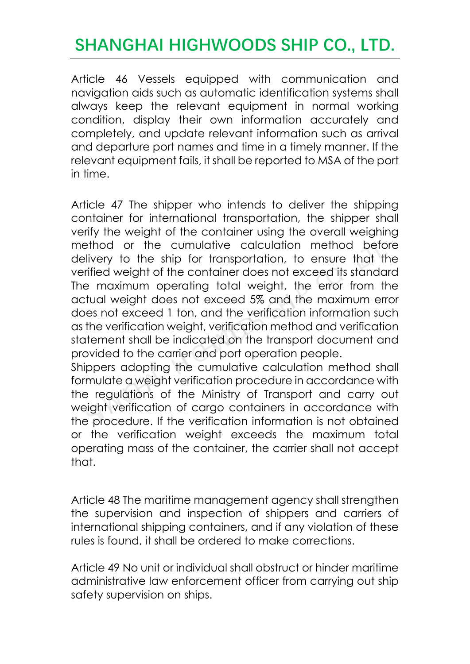Article 46 Vessels equipped with communication and navigation aids such as automatic identification systems shall always keep the relevant equipment in normal working condition, display their own information accurately and completely, and update relevant information such as arrival and departure port names and time in a timely manner. If the relevant equipment fails, it shall be reported to MSA of the port in time.

Article 47 The shipper who intends to deliver the shipping container for international transportation, the shipper shall verify the weight of the container using the overall weighing method or the cumulative calculation method before delivery to the ship for transportation, to ensure that the verified weight of the container does not exceed its standard The maximum operating total weight, the error from the actual weight does not exceed 5% and the maximum error does not exceed 1 ton, and the verification information such as the verification weight, verification method and verification statement shall be indicated on the transport document and provided to the carrier and port operation people. ethod or the cumulative calculation method before<br>elivery to the ship for transportation, to ensure that the<br>rified weight of the container does not exceed its standare<br>maximum operating total weight, the error from the<br>tr

Shippers adopting the cumulative calculation method shall formulate a weight verification procedure in accordance with the regulations of the Ministry of Transport and carry out weight verification of cargo containers in accordance with the procedure. If the verification information is not obtained or the verification weight exceeds the maximum total operating mass of the container, the carrier shall not accept that.

Article 48 The maritime management agency shall strengthen the supervision and inspection of shippers and carriers of international shipping containers, and if any violation of these rules is found, it shall be ordered to make corrections.

Article 49 No unit or individual shall obstruct or hinder maritime administrative law enforcement officer from carrying out ship safety supervision on ships.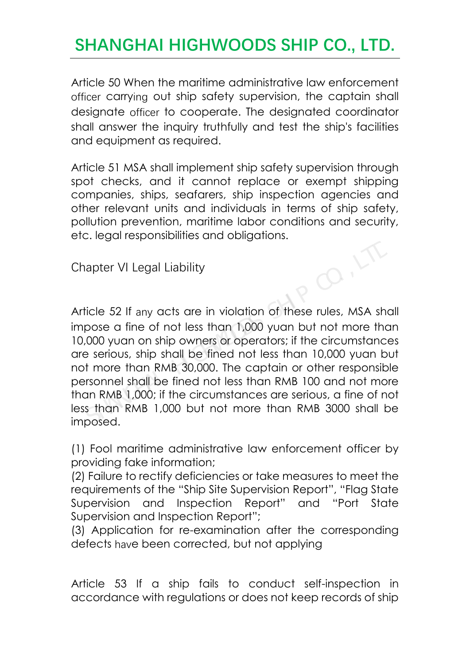Article 50 When the maritime administrative law enforcement officer carrying out ship safety supervision, the captain shall designate officer to cooperate. The designated coordinator shall answer the inquiry truthfully and test the ship's facilities and equipment as required.

Article 51 MSA shall implement ship safety supervision through spot checks, and it cannot replace or exempt shipping companies, ships, seafarers, ship inspection agencies and other relevant units and individuals in terms of ship safety, pollution prevention, maritime labor conditions and security, etc. legal responsibilities and obligations. PO.III

Chapter VI Legal Liability

Article 52 If any acts are in violation of these rules, MSA shall impose a fine of not less than 1,000 yuan but not more than 10,000 yuan on ship owners or operators; if the circumstances are serious, ship shall be fined not less than 10,000 yuan but not more than RMB 30,000. The captain or other responsible personnel shall be fined not less than RMB 100 and not more than RMB 1,000; if the circumstances are serious, a fine of not less than RMB 1,000 but not more than RMB 3000 shall be imposed.

(1) Fool maritime administrative law enforcement officer by providing fake information;

(2) Failure to rectify deficiencies or take measures to meet the requirements of the "Ship Site Supervision Report", "Flag State Supervision and Inspection Report" and "Port State Supervision and Inspection Report";

(3) Application for re-examination after the corresponding defects have been corrected, but not applying

Article 53 If a ship fails to conduct self-inspection in accordance with regulations or does not keep records of ship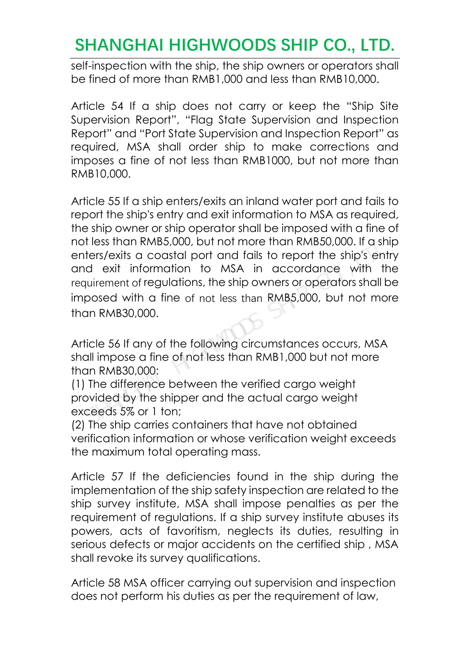self-inspection with the ship, the ship owners or operators shall be fined of more than RMB1,000 and less than RMB10,000.

Article 54 If a ship does not carry or keep the "Ship Site Supervision Report", "Flag State Supervision and Inspection Report" and "Port State Supervision and Inspection Report" as required, MSA shall order ship to make corrections and imposes a fine of not less than RMB1000, but not more than RMB10,000.

Article 55 If a ship enters/exits an inland water port and fails to report the ship's entry and exit information to MSA as required, the ship owner or ship operator shall be imposed with a fine of not less than RMB5,000, but not more than RMB50,000. If a ship enters/exits a coastal port and fails to report the ship's entry and exit information to MSA in accordance with the requirement of regulations, the ship owners or operators shall be imposed with a fine of not less than RMB5,000, but not more than RMB30,000. It less than RMB5,000, but not more than RMB50,000. If a ship<br>ters/exits a coastal port and fails to report the ship's entries<br>a exit information to MSA in accordance with the<br>quirement of regulations, the ship owners or o

Article 56 If any of the following circumstances occurs, MSA shall impose a fine of not less than RMB1,000 but not more than RMB30,000:

(1) The difference between the verified cargo weight provided by the shipper and the actual cargo weight exceeds 5% or 1 ton;

(2) The ship carries containers that have not obtained verification information or whose verification weight exceeds the maximum total operating mass.

Article 57 If the deficiencies found in the ship during the implementation of the ship safety inspection are related to the ship survey institute, MSA shall impose penalties as per the requirement of regulations. If a ship survey institute abuses its powers, acts of favoritism, neglects its duties, resulting in serious defects or major accidents on the certified ship , MSA shall revoke its survey qualifications.

Article 58 MSA officer carrying out supervision and inspection does not perform his duties as per the requirement of law,